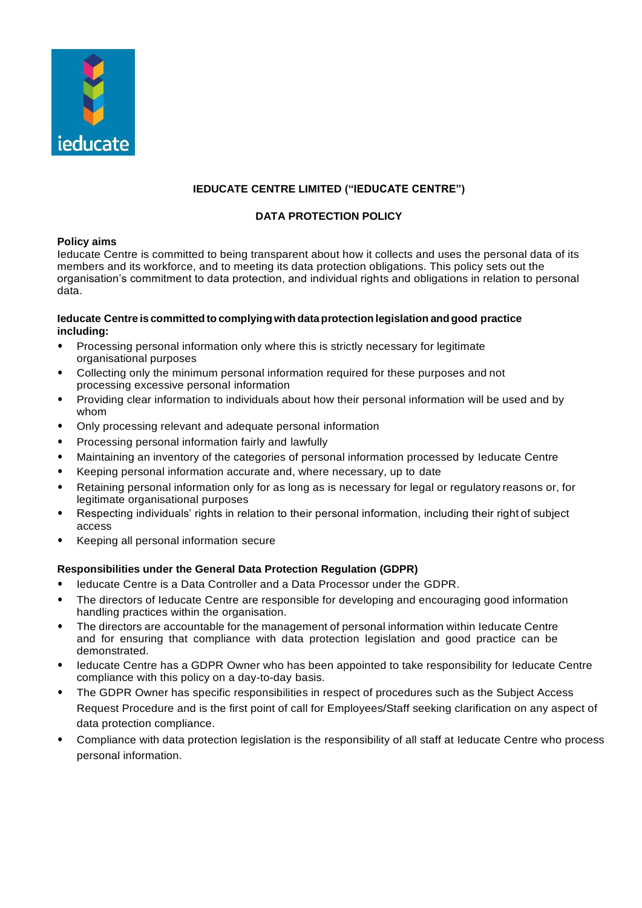

# **IEDUCATE CENTRE LIMITED ("IEDUCATE CENTRE")**

# **DATA PROTECTION POLICY**

## **Policy aims**

Ieducate Centre is committed to being transparent about how it collects and uses the personal data of its members and its workforce, and to meeting its data protection obligations. This policy sets out the organisation's commitment to data protection, and individual rights and obligations in relation to personal data.

### **Ieducate Centre is committed to complyingwith dataprotection legislation and good practice including:**

- Processing personal information only where this is strictly necessary for legitimate organisational purposes
- Collecting only the minimum personal information required for these purposes and not processing excessive personal information
- Providing clear information to individuals about how their personal information will be used and by whom
- Only processing relevant and adequate personal information
- Processing personal information fairly and lawfully
- Maintaining an inventory of the categories of personal information processed by Ieducate Centre
- Keeping personal information accurate and, where necessary, up to date
- Retaining personal information only for as long as is necessary for legal or regulatory reasons or, for legitimate organisational purposes
- Respecting individuals' rights in relation to their personal information, including their right of subject access
- Keeping all personal information secure

## **Responsibilities under the General Data Protection Regulation (GDPR)**

- Ieducate Centre is a Data Controller and a Data Processor under the GDPR.
- The directors of Ieducate Centre are responsible for developing and encouraging good information handling practices within the organisation.
- The directors are accountable for the management of personal information within Ieducate Centre and for ensuring that compliance with data protection legislation and good practice can be demonstrated.
- Ieducate Centre has a GDPR Owner who has been appointed to take responsibility for Ieducate Centre compliance with this policy on a day-to-day basis.
- The GDPR Owner has specific responsibilities in respect of procedures such as the Subject Access Request Procedure and is the first point of call for Employees/Staff seeking clarification on any aspect of data protection compliance.
- Compliance with data protection legislation is the responsibility of all staff at Ieducate Centre who process personal information.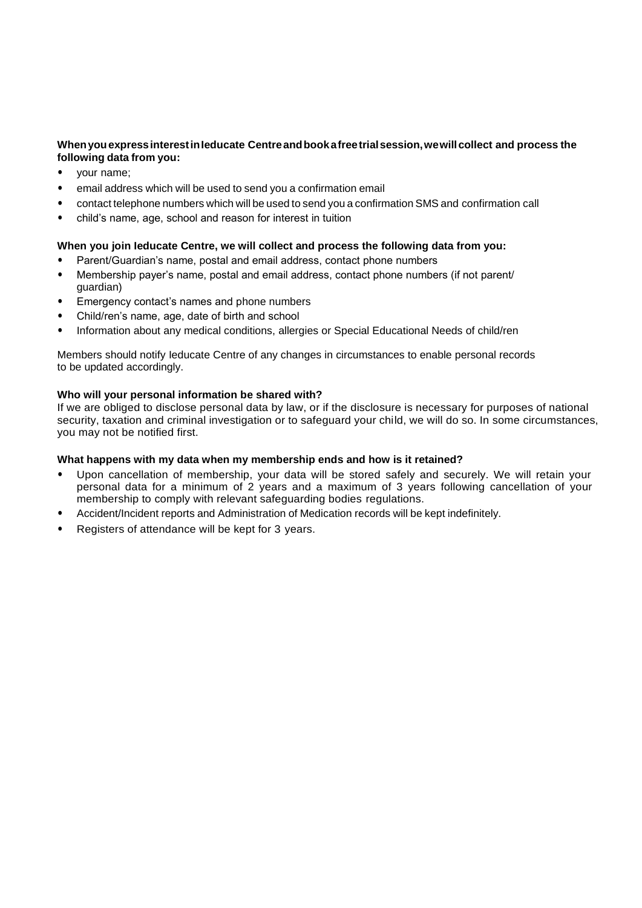## **WhenyouexpressinterestinIeducate Centreandbookafreetrialsession,wewillcollect and process the following data from you:**

- your name;
- email address which will be used to send you a confirmation email
- contact telephone numbers which will be used to send you a confirmation SMS and confirmation call
- child's name, age, school and reason for interest in tuition

## **When you join Ieducate Centre, we will collect and process the following data from you:**

- Parent/Guardian's name, postal and email address, contact phone numbers
- Membership payer's name, postal and email address, contact phone numbers (if not parent/ guardian)
- Emergency contact's names and phone numbers
- Child/ren's name, age, date of birth and school
- Information about any medical conditions, allergies or Special Educational Needs of child/ren

Members should notify Ieducate Centre of any changes in circumstances to enable personal records to be updated accordingly.

## **Who will your personal information be shared with?**

If we are obliged to disclose personal data by law, or if the disclosure is necessary for purposes of national security, taxation and criminal investigation or to safeguard your child, we will do so. In some circumstances, you may not be notified first.

## **What happens with my data when my membership ends and how is it retained?**

- Upon cancellation of membership, your data will be stored safely and securely. We will retain your personal data for a minimum of 2 years and a maximum of 3 years following cancellation of your membership to comply with relevant safeguarding bodies regulations.
- Accident/Incident reports and Administration of Medication records will be kept indefinitely.
- Registers of attendance will be kept for 3 years.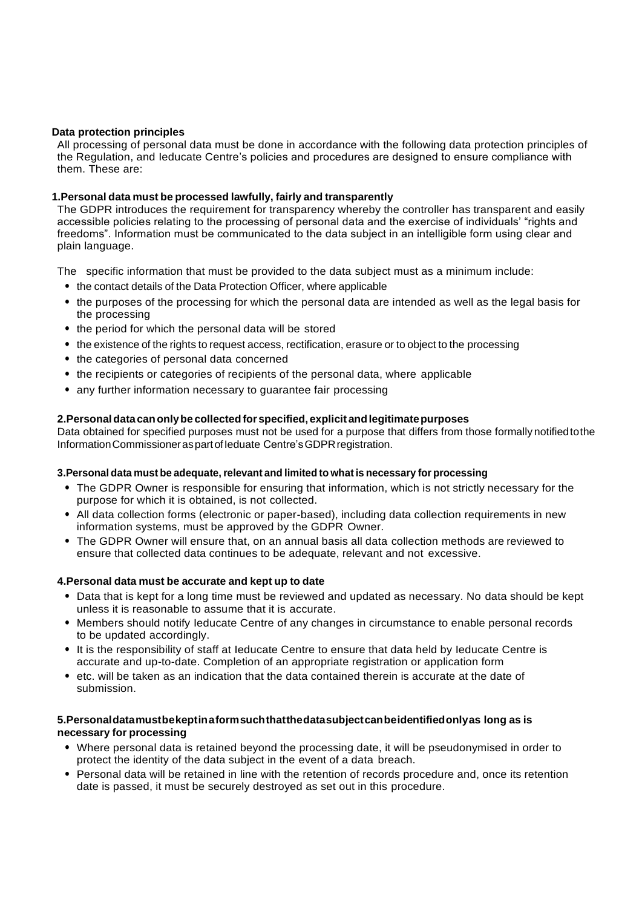### **Data protection principles**

All processing of personal data must be done in accordance with the following data protection principles of the Regulation, and Ieducate Centre's policies and procedures are designed to ensure compliance with them. These are:

## **1.Personal data must be processed lawfully, fairly and transparently**

The GDPR introduces the requirement for transparency whereby the controller has transparent and easily accessible policies relating to the processing of personal data and the exercise of individuals' "rights and freedoms". Information must be communicated to the data subject in an intelligible form using clear and plain language.

The specific information that must be provided to the data subject must as a minimum include:

- the contact details of the Data Protection Officer, where applicable
- the purposes of the processing for which the personal data are intended as well as the legal basis for the processing
- the period for which the personal data will be stored
- the existence of the rights to request access, rectification, erasure or to object to the processing
- the categories of personal data concerned
- the recipients or categories of recipients of the personal data, where applicable
- any further information necessary to guarantee fair processing

### **2.Personaldatacanonlybe collectedforspecified, explicit andlegitimatepurposes**

Data obtained for specified purposes must not be used for a purpose that differs from those formally notifiedtothe InformationCommissioneraspartofIeduate Centre'sGDPRregistration.

#### **3.Personal data must be adequate,relevant and limited to what is necessary for processing**

- The GDPR Owner is responsible for ensuring that information, which is not strictly necessary for the purpose for which it is obtained, is not collected.
- All data collection forms (electronic or paper-based), including data collection requirements in new information systems, must be approved by the GDPR Owner.
- The GDPR Owner will ensure that, on an annual basis all data collection methods are reviewed to ensure that collected data continues to be adequate, relevant and not excessive.

#### **4.Personal data must be accurate and kept up to date**

- Data that is kept for a long time must be reviewed and updated as necessary. No data should be kept unless it is reasonable to assume that it is accurate.
- Members should notify Ieducate Centre of any changes in circumstance to enable personal records to be updated accordingly.
- It is the responsibility of staff at Ieducate Centre to ensure that data held by Ieducate Centre is accurate and up-to-date. Completion of an appropriate registration or application form
- etc. will be taken as an indication that the data contained therein is accurate at the date of submission.

### **5.Personaldatamustbekeptinaformsuchthatthedatasubjectcanbeidentifiedonlyas long as is necessary for processing**

- Where personal data is retained beyond the processing date, it will be pseudonymised in order to protect the identity of the data subject in the event of a data breach.
- Personal data will be retained in line with the retention of records procedure and, once its retention date is passed, it must be securely destroyed as set out in this procedure.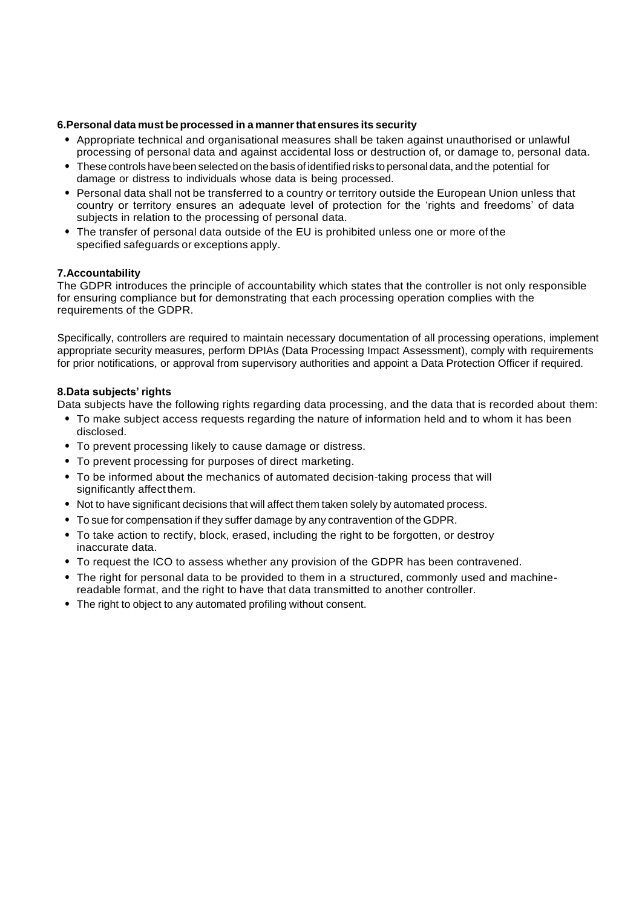## **6.Personal data must be processed in a mannerthat ensures its security**

- Appropriate technical and organisational measures shall be taken against unauthorised or unlawful processing of personal data and against accidental loss or destruction of, or damage to, personal data.
- These controls have been selected on the basis of identified risks to personal data, and the potential for damage or distress to individuals whose data is being processed.
- Personal data shall not be transferred to a country or territory outside the European Union unless that country or territory ensures an adequate level of protection for the 'rights and freedoms' of data subjects in relation to the processing of personal data.
- The transfer of personal data outside of the EU is prohibited unless one or more of the specified safeguards or exceptions apply.

## **7.Accountability**

The GDPR introduces the principle of accountability which states that the controller is not only responsible for ensuring compliance but for demonstrating that each processing operation complies with the requirements of the GDPR.

Specifically, controllers are required to maintain necessary documentation of all processing operations, implement appropriate security measures, perform DPIAs (Data Processing Impact Assessment), comply with requirements for prior notifications, or approval from supervisory authorities and appoint a Data Protection Officer if required.

## **8.Data subjects' rights**

Data subjects have the following rights regarding data processing, and the data that is recorded about them:

- To make subject access requests regarding the nature of information held and to whom it has been disclosed.
- To prevent processing likely to cause damage or distress.
- To prevent processing for purposes of direct marketing.
- To be informed about the mechanics of automated decision-taking process that will significantly affect them.
- Not to have significant decisions that will affect them taken solely by automated process.
- To sue for compensation if they suffer damage by any contravention of the GDPR.
- To take action to rectify, block, erased, including the right to be forgotten, or destroy inaccurate data.
- To request the ICO to assess whether any provision of the GDPR has been contravened.
- The right for personal data to be provided to them in a structured, commonly used and machinereadable format, and the right to have that data transmitted to another controller.
- The right to object to any automated profiling without consent.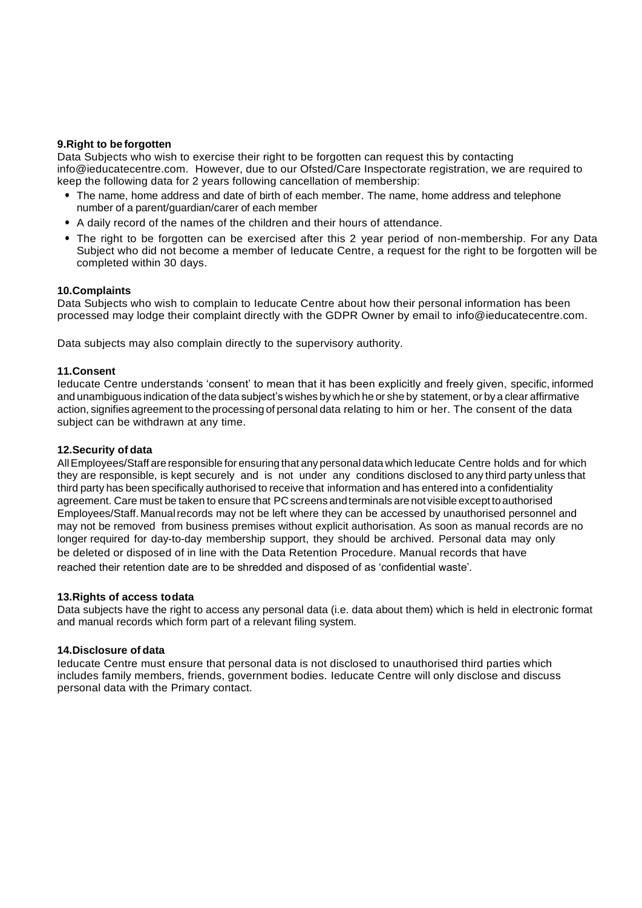### **9.Right to be forgotten**

Data Subjects who wish to exercise their right to be forgotten can request this by contacting [info@ieducatecentre.com.](mailto:info@ieducatecentre.com.) However, due to our Ofsted/Care Inspectorate registration, we are required to keep the following data for 2 years following cancellation of membership:

- The name, home address and date of birth of each member. The name, home address and telephone number of a parent/guardian/carer of each member
- A daily record of the names of the children and their hours of attendance.
- The right to be forgotten can be exercised after this 2 year period of non-membership. For any Data Subject who did not become a member of Ieducate Centre, a request for the right to be forgotten will be completed within 30 days.

#### **10.Complaints**

Data Subjects who wish to complain to Ieducate Centre about how their personal information has been processed may lodge their complaint directly with the GDPR Owner by email to info@ieducatecentre.com.

Data subjects may also complain directly to the supervisory authority.

### **11.Consent**

Ieducate Centre understands 'consent' to mean that it has been explicitly and freely given, specific, informed and unambiguous indication of the data subject's wishes by which he or she by statement, or by a clear affirmative action, signifies agreement to the processing of personal data relating to him or her. The consent of the data subject can be withdrawn at any time.

#### **12.Security of data**

AllEmployees/Staff are responsible for ensuring that anypersonal datawhich Ieducate Centre holds and for which they are responsible, is kept securely and is not under any conditions disclosed to any third party unless that third party has been specifically authorised to receive that information and has entered into a confidentiality agreement. Care must be taken to ensure that PC screens and terminals are not visible except to authorised Employees/Staff. Manualrecords may not be left where they can be accessed by unauthorised personnel and may not be removed from business premises without explicit authorisation. As soon as manual records are no longer required for day-to-day membership support, they should be archived. Personal data may only be deleted or disposed of in line with the Data Retention Procedure. Manual records that have reached their retention date are to be shredded and disposed of as 'confidential waste'.

#### **13.Rights of access todata**

Data subjects have the right to access any personal data (i.e. data about them) which is held in electronic format and manual records which form part of a relevant filing system.

#### **14.Disclosure of data**

Ieducate Centre must ensure that personal data is not disclosed to unauthorised third parties which includes family members, friends, government bodies. Ieducate Centre will only disclose and discuss personal data with the Primary contact.